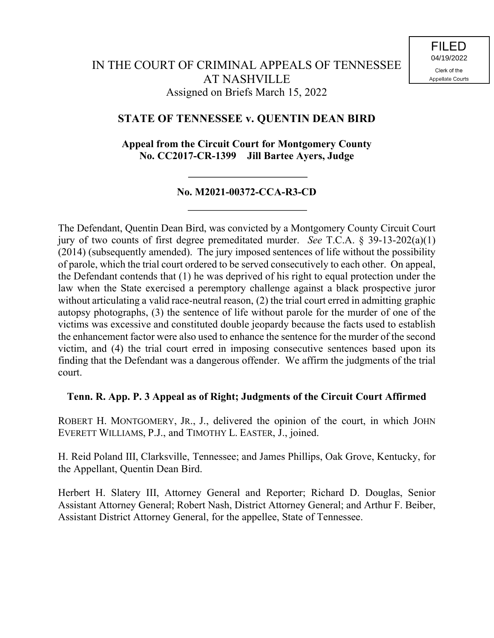# **STATE OF TENNESSEE v. QUENTIN DEAN BIRD**

**Appeal from the Circuit Court for Montgomery County No. CC2017-CR-1399 Jill Bartee Ayers, Judge**

## **No. M2021-00372-CCA-R3-CD**

The Defendant, Quentin Dean Bird, was convicted by a Montgomery County Circuit Court jury of two counts of first degree premeditated murder. *See* T.C.A. § 39-13-202(a)(1) (2014) (subsequently amended). The jury imposed sentences of life without the possibility of parole, which the trial court ordered to be served consecutively to each other. On appeal, the Defendant contends that (1) he was deprived of his right to equal protection under the law when the State exercised a peremptory challenge against a black prospective juror without articulating a valid race-neutral reason, (2) the trial court erred in admitting graphic autopsy photographs, (3) the sentence of life without parole for the murder of one of the victims was excessive and constituted double jeopardy because the facts used to establish the enhancement factor were also used to enhance the sentence for the murder of the second victim, and (4) the trial court erred in imposing consecutive sentences based upon its finding that the Defendant was a dangerous offender. We affirm the judgments of the trial court.

## **Tenn. R. App. P. 3 Appeal as of Right; Judgments of the Circuit Court Affirmed**

ROBERT H. MONTGOMERY, JR., J., delivered the opinion of the court, in which JOHN EVERETT WILLIAMS, P.J., and TIMOTHY L. EASTER, J., joined.

H. Reid Poland III, Clarksville, Tennessee; and James Phillips, Oak Grove, Kentucky, for the Appellant, Quentin Dean Bird.

Herbert H. Slatery III, Attorney General and Reporter; Richard D. Douglas, Senior Assistant Attorney General; Robert Nash, District Attorney General; and Arthur F. Beiber, Assistant District Attorney General, for the appellee, State of Tennessee.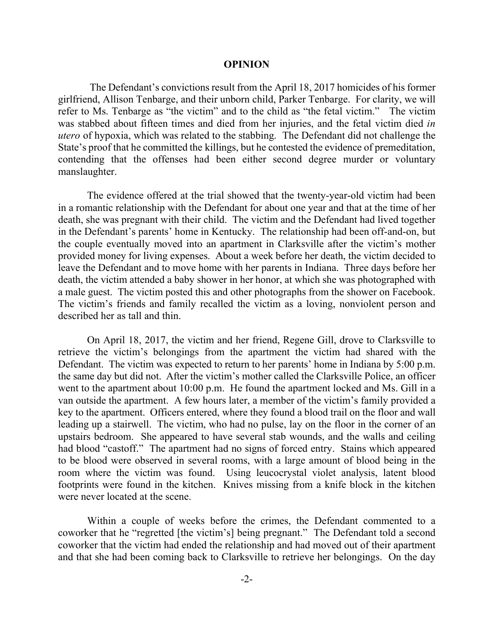#### **OPINION**

The Defendant's convictions result from the April 18, 2017 homicides of his former girlfriend, Allison Tenbarge, and their unborn child, Parker Tenbarge. For clarity, we will refer to Ms. Tenbarge as "the victim" and to the child as "the fetal victim." The victim was stabbed about fifteen times and died from her injuries, and the fetal victim died *in utero* of hypoxia, which was related to the stabbing. The Defendant did not challenge the State's proof that he committed the killings, but he contested the evidence of premeditation, contending that the offenses had been either second degree murder or voluntary manslaughter.

The evidence offered at the trial showed that the twenty-year-old victim had been in a romantic relationship with the Defendant for about one year and that at the time of her death, she was pregnant with their child. The victim and the Defendant had lived together in the Defendant's parents' home in Kentucky. The relationship had been off-and-on, but the couple eventually moved into an apartment in Clarksville after the victim's mother provided money for living expenses. About a week before her death, the victim decided to leave the Defendant and to move home with her parents in Indiana. Three days before her death, the victim attended a baby shower in her honor, at which she was photographed with a male guest. The victim posted this and other photographs from the shower on Facebook. The victim's friends and family recalled the victim as a loving, nonviolent person and described her as tall and thin.

On April 18, 2017, the victim and her friend, Regene Gill, drove to Clarksville to retrieve the victim's belongings from the apartment the victim had shared with the Defendant. The victim was expected to return to her parents' home in Indiana by 5:00 p.m. the same day but did not. After the victim's mother called the Clarksville Police, an officer went to the apartment about 10:00 p.m. He found the apartment locked and Ms. Gill in a van outside the apartment. A few hours later, a member of the victim's family provided a key to the apartment. Officers entered, where they found a blood trail on the floor and wall leading up a stairwell. The victim, who had no pulse, lay on the floor in the corner of an upstairs bedroom. She appeared to have several stab wounds, and the walls and ceiling had blood "castoff." The apartment had no signs of forced entry. Stains which appeared to be blood were observed in several rooms, with a large amount of blood being in the room where the victim was found. Using leucocrystal violet analysis, latent blood footprints were found in the kitchen. Knives missing from a knife block in the kitchen were never located at the scene.

Within a couple of weeks before the crimes, the Defendant commented to a coworker that he "regretted [the victim's] being pregnant." The Defendant told a second coworker that the victim had ended the relationship and had moved out of their apartment and that she had been coming back to Clarksville to retrieve her belongings. On the day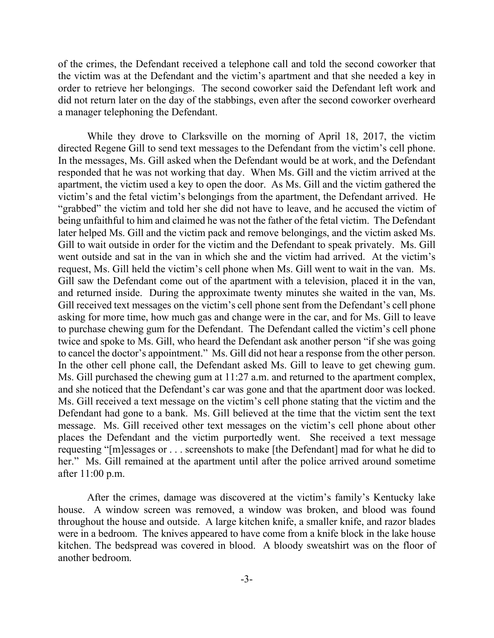of the crimes, the Defendant received a telephone call and told the second coworker that the victim was at the Defendant and the victim's apartment and that she needed a key in order to retrieve her belongings. The second coworker said the Defendant left work and did not return later on the day of the stabbings, even after the second coworker overheard a manager telephoning the Defendant.

While they drove to Clarksville on the morning of April 18, 2017, the victim directed Regene Gill to send text messages to the Defendant from the victim's cell phone. In the messages, Ms. Gill asked when the Defendant would be at work, and the Defendant responded that he was not working that day. When Ms. Gill and the victim arrived at the apartment, the victim used a key to open the door. As Ms. Gill and the victim gathered the victim's and the fetal victim's belongings from the apartment, the Defendant arrived. He "grabbed" the victim and told her she did not have to leave, and he accused the victim of being unfaithful to him and claimed he was not the father of the fetal victim. The Defendant later helped Ms. Gill and the victim pack and remove belongings, and the victim asked Ms. Gill to wait outside in order for the victim and the Defendant to speak privately. Ms. Gill went outside and sat in the van in which she and the victim had arrived. At the victim's request, Ms. Gill held the victim's cell phone when Ms. Gill went to wait in the van. Ms. Gill saw the Defendant come out of the apartment with a television, placed it in the van, and returned inside. During the approximate twenty minutes she waited in the van, Ms. Gill received text messages on the victim's cell phone sent from the Defendant's cell phone asking for more time, how much gas and change were in the car, and for Ms. Gill to leave to purchase chewing gum for the Defendant. The Defendant called the victim's cell phone twice and spoke to Ms. Gill, who heard the Defendant ask another person "if she was going to cancel the doctor's appointment." Ms. Gill did not hear a response from the other person. In the other cell phone call, the Defendant asked Ms. Gill to leave to get chewing gum. Ms. Gill purchased the chewing gum at 11:27 a.m. and returned to the apartment complex, and she noticed that the Defendant's car was gone and that the apartment door was locked. Ms. Gill received a text message on the victim's cell phone stating that the victim and the Defendant had gone to a bank. Ms. Gill believed at the time that the victim sent the text message. Ms. Gill received other text messages on the victim's cell phone about other places the Defendant and the victim purportedly went. She received a text message requesting "[m]essages or . . . screenshots to make [the Defendant] mad for what he did to her." Ms. Gill remained at the apartment until after the police arrived around sometime after 11:00 p.m.

After the crimes, damage was discovered at the victim's family's Kentucky lake house. A window screen was removed, a window was broken, and blood was found throughout the house and outside. A large kitchen knife, a smaller knife, and razor blades were in a bedroom. The knives appeared to have come from a knife block in the lake house kitchen. The bedspread was covered in blood. A bloody sweatshirt was on the floor of another bedroom.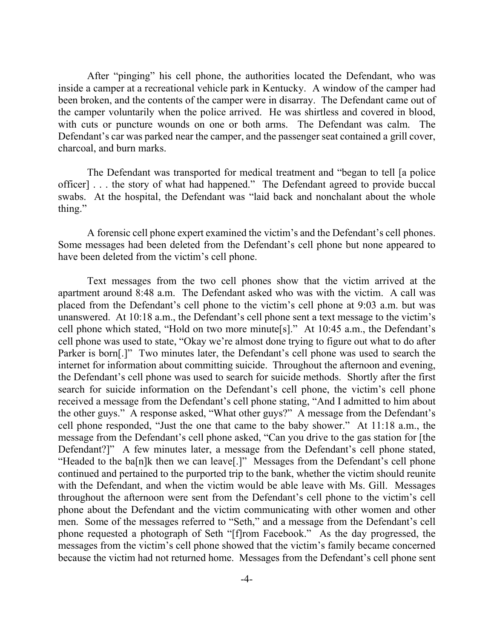After "pinging" his cell phone, the authorities located the Defendant, who was inside a camper at a recreational vehicle park in Kentucky. A window of the camper had been broken, and the contents of the camper were in disarray. The Defendant came out of the camper voluntarily when the police arrived. He was shirtless and covered in blood, with cuts or puncture wounds on one or both arms. The Defendant was calm. The Defendant's car was parked near the camper, and the passenger seat contained a grill cover, charcoal, and burn marks.

The Defendant was transported for medical treatment and "began to tell [a police officer] . . . the story of what had happened." The Defendant agreed to provide buccal swabs. At the hospital, the Defendant was "laid back and nonchalant about the whole thing."

A forensic cell phone expert examined the victim's and the Defendant's cell phones. Some messages had been deleted from the Defendant's cell phone but none appeared to have been deleted from the victim's cell phone.

Text messages from the two cell phones show that the victim arrived at the apartment around 8:48 a.m. The Defendant asked who was with the victim. A call was placed from the Defendant's cell phone to the victim's cell phone at 9:03 a.m. but was unanswered. At 10:18 a.m., the Defendant's cell phone sent a text message to the victim's cell phone which stated, "Hold on two more minute[s]." At 10:45 a.m., the Defendant's cell phone was used to state, "Okay we're almost done trying to figure out what to do after Parker is born[.]" Two minutes later, the Defendant's cell phone was used to search the internet for information about committing suicide. Throughout the afternoon and evening, the Defendant's cell phone was used to search for suicide methods. Shortly after the first search for suicide information on the Defendant's cell phone, the victim's cell phone received a message from the Defendant's cell phone stating, "And I admitted to him about the other guys." A response asked, "What other guys?" A message from the Defendant's cell phone responded, "Just the one that came to the baby shower." At 11:18 a.m., the message from the Defendant's cell phone asked, "Can you drive to the gas station for [the Defendant?]" A few minutes later, a message from the Defendant's cell phone stated, "Headed to the ba[n]k then we can leave[.]" Messages from the Defendant's cell phone continued and pertained to the purported trip to the bank, whether the victim should reunite with the Defendant, and when the victim would be able leave with Ms. Gill. Messages throughout the afternoon were sent from the Defendant's cell phone to the victim's cell phone about the Defendant and the victim communicating with other women and other men. Some of the messages referred to "Seth," and a message from the Defendant's cell phone requested a photograph of Seth "[f]rom Facebook." As the day progressed, the messages from the victim's cell phone showed that the victim's family became concerned because the victim had not returned home. Messages from the Defendant's cell phone sent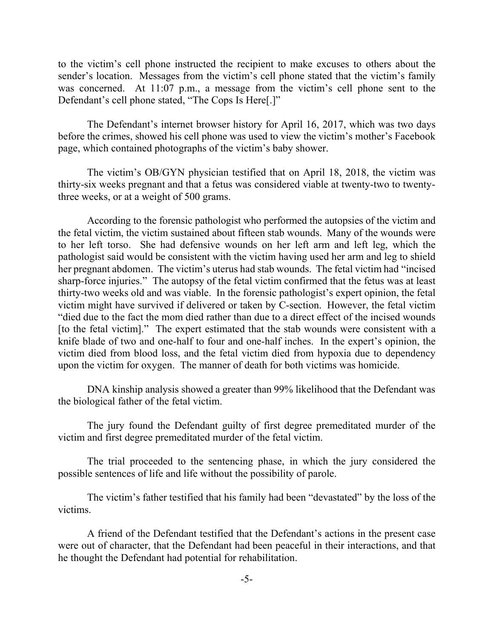to the victim's cell phone instructed the recipient to make excuses to others about the sender's location. Messages from the victim's cell phone stated that the victim's family was concerned. At 11:07 p.m., a message from the victim's cell phone sent to the Defendant's cell phone stated, "The Cops Is Here[.]"

The Defendant's internet browser history for April 16, 2017, which was two days before the crimes, showed his cell phone was used to view the victim's mother's Facebook page, which contained photographs of the victim's baby shower.

The victim's OB/GYN physician testified that on April 18, 2018, the victim was thirty-six weeks pregnant and that a fetus was considered viable at twenty-two to twentythree weeks, or at a weight of 500 grams.

According to the forensic pathologist who performed the autopsies of the victim and the fetal victim, the victim sustained about fifteen stab wounds. Many of the wounds were to her left torso. She had defensive wounds on her left arm and left leg, which the pathologist said would be consistent with the victim having used her arm and leg to shield her pregnant abdomen. The victim's uterus had stab wounds. The fetal victim had "incised sharp-force injuries." The autopsy of the fetal victim confirmed that the fetus was at least thirty-two weeks old and was viable. In the forensic pathologist's expert opinion, the fetal victim might have survived if delivered or taken by C-section. However, the fetal victim "died due to the fact the mom died rather than due to a direct effect of the incised wounds [to the fetal victim]." The expert estimated that the stab wounds were consistent with a knife blade of two and one-half to four and one-half inches. In the expert's opinion, the victim died from blood loss, and the fetal victim died from hypoxia due to dependency upon the victim for oxygen. The manner of death for both victims was homicide.

DNA kinship analysis showed a greater than 99% likelihood that the Defendant was the biological father of the fetal victim.

The jury found the Defendant guilty of first degree premeditated murder of the victim and first degree premeditated murder of the fetal victim.

The trial proceeded to the sentencing phase, in which the jury considered the possible sentences of life and life without the possibility of parole.

The victim's father testified that his family had been "devastated" by the loss of the victims.

A friend of the Defendant testified that the Defendant's actions in the present case were out of character, that the Defendant had been peaceful in their interactions, and that he thought the Defendant had potential for rehabilitation.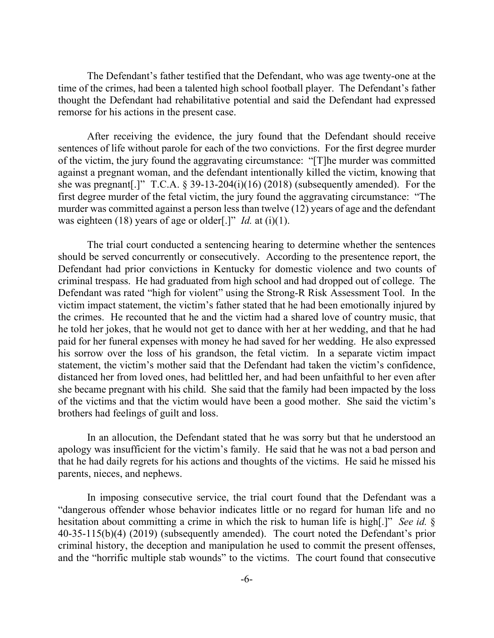The Defendant's father testified that the Defendant, who was age twenty-one at the time of the crimes, had been a talented high school football player. The Defendant's father thought the Defendant had rehabilitative potential and said the Defendant had expressed remorse for his actions in the present case.

After receiving the evidence, the jury found that the Defendant should receive sentences of life without parole for each of the two convictions. For the first degree murder of the victim, the jury found the aggravating circumstance: "[T]he murder was committed against a pregnant woman, and the defendant intentionally killed the victim, knowing that she was pregnant[.]" T.C.A. § 39-13-204(i)(16) (2018) (subsequently amended). For the first degree murder of the fetal victim, the jury found the aggravating circumstance: "The murder was committed against a person less than twelve (12) years of age and the defendant was eighteen (18) years of age or older[.]" *Id.* at (i)(1).

The trial court conducted a sentencing hearing to determine whether the sentences should be served concurrently or consecutively. According to the presentence report, the Defendant had prior convictions in Kentucky for domestic violence and two counts of criminal trespass. He had graduated from high school and had dropped out of college. The Defendant was rated "high for violent" using the Strong-R Risk Assessment Tool. In the victim impact statement, the victim's father stated that he had been emotionally injured by the crimes. He recounted that he and the victim had a shared love of country music, that he told her jokes, that he would not get to dance with her at her wedding, and that he had paid for her funeral expenses with money he had saved for her wedding. He also expressed his sorrow over the loss of his grandson, the fetal victim. In a separate victim impact statement, the victim's mother said that the Defendant had taken the victim's confidence, distanced her from loved ones, had belittled her, and had been unfaithful to her even after she became pregnant with his child. She said that the family had been impacted by the loss of the victims and that the victim would have been a good mother. She said the victim's brothers had feelings of guilt and loss.

In an allocution, the Defendant stated that he was sorry but that he understood an apology was insufficient for the victim's family. He said that he was not a bad person and that he had daily regrets for his actions and thoughts of the victims. He said he missed his parents, nieces, and nephews.

In imposing consecutive service, the trial court found that the Defendant was a "dangerous offender whose behavior indicates little or no regard for human life and no hesitation about committing a crime in which the risk to human life is high[.]" *See id.* § 40-35-115(b)(4) (2019) (subsequently amended). The court noted the Defendant's prior criminal history, the deception and manipulation he used to commit the present offenses, and the "horrific multiple stab wounds" to the victims. The court found that consecutive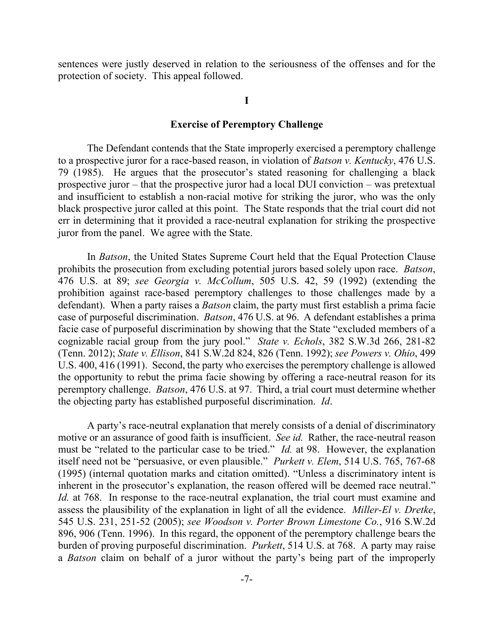sentences were justly deserved in relation to the seriousness of the offenses and for the protection of society. This appeal followed.

#### **I**

### **Exercise of Peremptory Challenge**

The Defendant contends that the State improperly exercised a peremptory challenge to a prospective juror for a race-based reason, in violation of *Batson v. Kentucky*, 476 U.S. 79 (1985). He argues that the prosecutor's stated reasoning for challenging a black prospective juror – that the prospective juror had a local DUI conviction – was pretextual and insufficient to establish a non-racial motive for striking the juror, who was the only black prospective juror called at this point. The State responds that the trial court did not err in determining that it provided a race-neutral explanation for striking the prospective juror from the panel. We agree with the State.

In *Batson*, the United States Supreme Court held that the Equal Protection Clause prohibits the prosecution from excluding potential jurors based solely upon race. *Batson*, 476 U.S. at 89; *see Georgia v. McCollum*, 505 U.S. 42, 59 (1992) (extending the prohibition against race-based peremptory challenges to those challenges made by a defendant). When a party raises a *Batson* claim, the party must first establish a prima facie case of purposeful discrimination. *Batson*, 476 U.S. at 96. A defendant establishes a prima facie case of purposeful discrimination by showing that the State "excluded members of a cognizable racial group from the jury pool." *State v. Echols*, 382 S.W.3d 266, 281-82 (Tenn. 2012); *State v. Ellison*, 841 S.W.2d 824, 826 (Tenn. 1992); *see Powers v. Ohio*, 499 U.S. 400, 416 (1991). Second, the party who exercises the peremptory challenge is allowed the opportunity to rebut the prima facie showing by offering a race-neutral reason for its peremptory challenge. *Batson*, 476 U.S. at 97. Third, a trial court must determine whether the objecting party has established purposeful discrimination. *Id*.

A party's race-neutral explanation that merely consists of a denial of discriminatory motive or an assurance of good faith is insufficient. *See id.* Rather, the race-neutral reason must be "related to the particular case to be tried." *Id.* at 98. However, the explanation itself need not be "persuasive, or even plausible." *Purkett v. Elem*, 514 U.S. 765, 767-68 (1995) (internal quotation marks and citation omitted). "Unless a discriminatory intent is inherent in the prosecutor's explanation, the reason offered will be deemed race neutral." *Id.* at 768. In response to the race-neutral explanation, the trial court must examine and assess the plausibility of the explanation in light of all the evidence. *Miller-El v. Dretke*, 545 U.S. 231, 251-52 (2005); *see Woodson v. Porter Brown Limestone Co.*, 916 S.W.2d 896, 906 (Tenn. 1996). In this regard, the opponent of the peremptory challenge bears the burden of proving purposeful discrimination. *Purkett*, 514 U.S. at 768. A party may raise a *Batson* claim on behalf of a juror without the party's being part of the improperly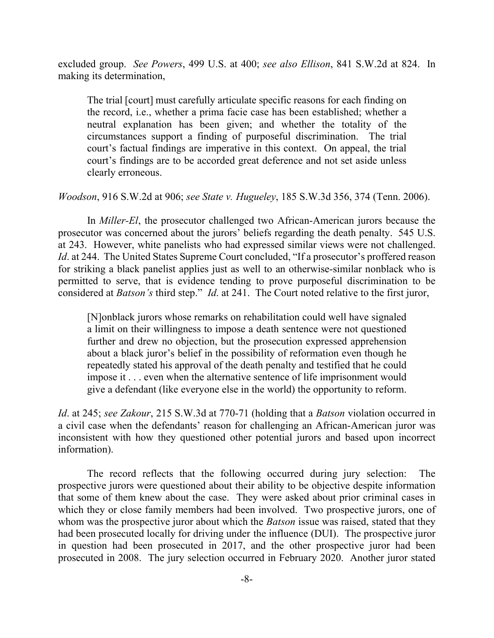excluded group. *See Powers*, 499 U.S. at 400; *see also Ellison*, 841 S.W.2d at 824. In making its determination,

The trial [court] must carefully articulate specific reasons for each finding on the record, i.e., whether a prima facie case has been established; whether a neutral explanation has been given; and whether the totality of the circumstances support a finding of purposeful discrimination. The trial court's factual findings are imperative in this context. On appeal, the trial court's findings are to be accorded great deference and not set aside unless clearly erroneous.

*Woodson*, 916 S.W.2d at 906; *see State v. Hugueley*, 185 S.W.3d 356, 374 (Tenn. 2006).

In *Miller-El*, the prosecutor challenged two African-American jurors because the prosecutor was concerned about the jurors' beliefs regarding the death penalty. 545 U.S. at 243. However, white panelists who had expressed similar views were not challenged. *Id.* at 244. The United States Supreme Court concluded, "If a prosecutor's proffered reason for striking a black panelist applies just as well to an otherwise-similar nonblack who is permitted to serve, that is evidence tending to prove purposeful discrimination to be considered at *Batson's* third step." *Id*. at 241. The Court noted relative to the first juror,

[N]onblack jurors whose remarks on rehabilitation could well have signaled a limit on their willingness to impose a death sentence were not questioned further and drew no objection, but the prosecution expressed apprehension about a black juror's belief in the possibility of reformation even though he repeatedly stated his approval of the death penalty and testified that he could impose it . . . even when the alternative sentence of life imprisonment would give a defendant (like everyone else in the world) the opportunity to reform.

*Id*. at 245; *see Zakour*, 215 S.W.3d at 770-71 (holding that a *Batson* violation occurred in a civil case when the defendants' reason for challenging an African-American juror was inconsistent with how they questioned other potential jurors and based upon incorrect information).

The record reflects that the following occurred during jury selection: The prospective jurors were questioned about their ability to be objective despite information that some of them knew about the case. They were asked about prior criminal cases in which they or close family members had been involved. Two prospective jurors, one of whom was the prospective juror about which the *Batson* issue was raised, stated that they had been prosecuted locally for driving under the influence (DUI). The prospective juror in question had been prosecuted in 2017, and the other prospective juror had been prosecuted in 2008. The jury selection occurred in February 2020. Another juror stated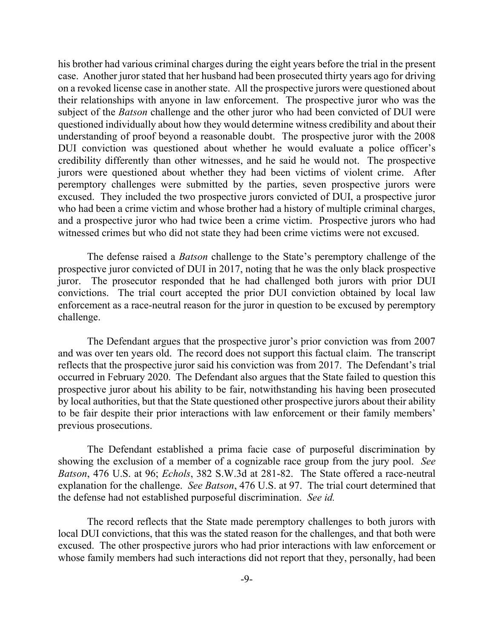his brother had various criminal charges during the eight years before the trial in the present case. Another juror stated that her husband had been prosecuted thirty years ago for driving on a revoked license case in another state. All the prospective jurors were questioned about their relationships with anyone in law enforcement. The prospective juror who was the subject of the *Batson* challenge and the other juror who had been convicted of DUI were questioned individually about how they would determine witness credibility and about their understanding of proof beyond a reasonable doubt. The prospective juror with the 2008 DUI conviction was questioned about whether he would evaluate a police officer's credibility differently than other witnesses, and he said he would not. The prospective jurors were questioned about whether they had been victims of violent crime. After peremptory challenges were submitted by the parties, seven prospective jurors were excused. They included the two prospective jurors convicted of DUI, a prospective juror who had been a crime victim and whose brother had a history of multiple criminal charges, and a prospective juror who had twice been a crime victim. Prospective jurors who had witnessed crimes but who did not state they had been crime victims were not excused.

The defense raised a *Batson* challenge to the State's peremptory challenge of the prospective juror convicted of DUI in 2017, noting that he was the only black prospective juror. The prosecutor responded that he had challenged both jurors with prior DUI convictions. The trial court accepted the prior DUI conviction obtained by local law enforcement as a race-neutral reason for the juror in question to be excused by peremptory challenge.

The Defendant argues that the prospective juror's prior conviction was from 2007 and was over ten years old. The record does not support this factual claim. The transcript reflects that the prospective juror said his conviction was from 2017. The Defendant's trial occurred in February 2020. The Defendant also argues that the State failed to question this prospective juror about his ability to be fair, notwithstanding his having been prosecuted by local authorities, but that the State questioned other prospective jurors about their ability to be fair despite their prior interactions with law enforcement or their family members' previous prosecutions.

The Defendant established a prima facie case of purposeful discrimination by showing the exclusion of a member of a cognizable race group from the jury pool. *See Batson*, 476 U.S. at 96; *Echols*, 382 S.W.3d at 281-82. The State offered a race-neutral explanation for the challenge. *See Batson*, 476 U.S. at 97. The trial court determined that the defense had not established purposeful discrimination. *See id.*

The record reflects that the State made peremptory challenges to both jurors with local DUI convictions, that this was the stated reason for the challenges, and that both were excused. The other prospective jurors who had prior interactions with law enforcement or whose family members had such interactions did not report that they, personally, had been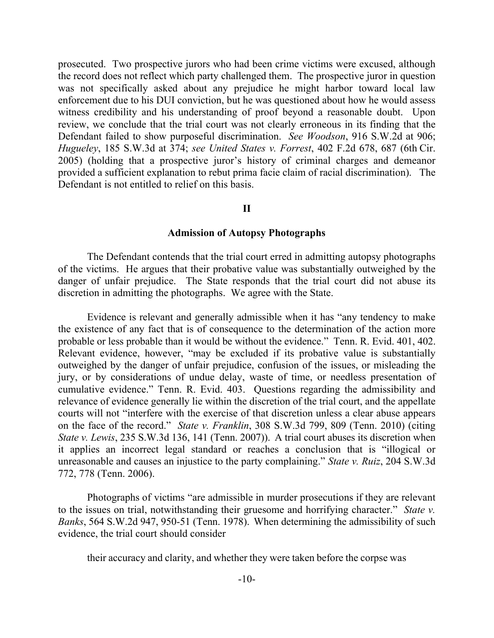prosecuted. Two prospective jurors who had been crime victims were excused, although the record does not reflect which party challenged them. The prospective juror in question was not specifically asked about any prejudice he might harbor toward local law enforcement due to his DUI conviction, but he was questioned about how he would assess witness credibility and his understanding of proof beyond a reasonable doubt. Upon review, we conclude that the trial court was not clearly erroneous in its finding that the Defendant failed to show purposeful discrimination. *See Woodson*, 916 S.W.2d at 906; *Hugueley*, 185 S.W.3d at 374; *see United States v. Forrest*, 402 F.2d 678, 687 (6th Cir. 2005) (holding that a prospective juror's history of criminal charges and demeanor provided a sufficient explanation to rebut prima facie claim of racial discrimination). The Defendant is not entitled to relief on this basis.

### **II**

### **Admission of Autopsy Photographs**

The Defendant contends that the trial court erred in admitting autopsy photographs of the victims. He argues that their probative value was substantially outweighed by the danger of unfair prejudice. The State responds that the trial court did not abuse its discretion in admitting the photographs. We agree with the State.

Evidence is relevant and generally admissible when it has "any tendency to make the existence of any fact that is of consequence to the determination of the action more probable or less probable than it would be without the evidence." Tenn. R. Evid. 401, 402. Relevant evidence, however, "may be excluded if its probative value is substantially outweighed by the danger of unfair prejudice, confusion of the issues, or misleading the jury, or by considerations of undue delay, waste of time, or needless presentation of cumulative evidence." Tenn. R. Evid. 403. Questions regarding the admissibility and relevance of evidence generally lie within the discretion of the trial court, and the appellate courts will not "interfere with the exercise of that discretion unless a clear abuse appears on the face of the record." *State v. Franklin*, 308 S.W.3d 799, 809 (Tenn. 2010) (citing *State v. Lewis*, 235 S.W.3d 136, 141 (Tenn. 2007)). A trial court abuses its discretion when it applies an incorrect legal standard or reaches a conclusion that is "illogical or unreasonable and causes an injustice to the party complaining." *State v. Ruiz*, 204 S.W.3d 772, 778 (Tenn. 2006).

Photographs of victims "are admissible in murder prosecutions if they are relevant to the issues on trial, notwithstanding their gruesome and horrifying character." *State v. Banks*, 564 S.W.2d 947, 950-51 (Tenn. 1978). When determining the admissibility of such evidence, the trial court should consider

their accuracy and clarity, and whether they were taken before the corpse was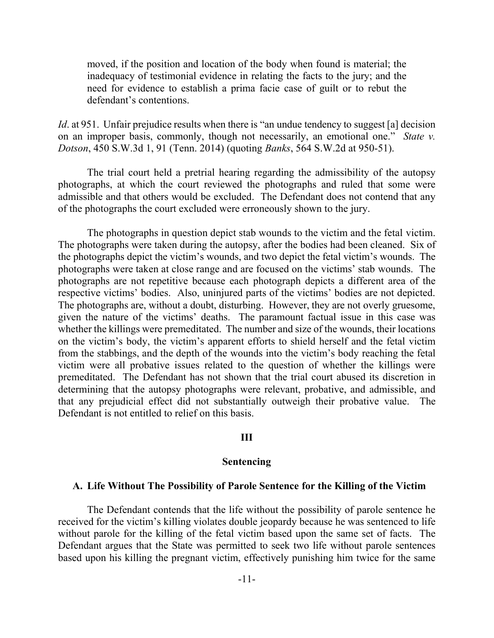moved, if the position and location of the body when found is material; the inadequacy of testimonial evidence in relating the facts to the jury; and the need for evidence to establish a prima facie case of guilt or to rebut the defendant's contentions.

*Id.* at 951. Unfair prejudice results when there is "an undue tendency to suggest [a] decision on an improper basis, commonly, though not necessarily, an emotional one." *State v. Dotson*, 450 S.W.3d 1, 91 (Tenn. 2014) (quoting *Banks*, 564 S.W.2d at 950-51).

The trial court held a pretrial hearing regarding the admissibility of the autopsy photographs, at which the court reviewed the photographs and ruled that some were admissible and that others would be excluded. The Defendant does not contend that any of the photographs the court excluded were erroneously shown to the jury.

The photographs in question depict stab wounds to the victim and the fetal victim. The photographs were taken during the autopsy, after the bodies had been cleaned. Six of the photographs depict the victim's wounds, and two depict the fetal victim's wounds. The photographs were taken at close range and are focused on the victims' stab wounds. The photographs are not repetitive because each photograph depicts a different area of the respective victims' bodies. Also, uninjured parts of the victims' bodies are not depicted. The photographs are, without a doubt, disturbing. However, they are not overly gruesome, given the nature of the victims' deaths. The paramount factual issue in this case was whether the killings were premeditated. The number and size of the wounds, their locations on the victim's body, the victim's apparent efforts to shield herself and the fetal victim from the stabbings, and the depth of the wounds into the victim's body reaching the fetal victim were all probative issues related to the question of whether the killings were premeditated. The Defendant has not shown that the trial court abused its discretion in determining that the autopsy photographs were relevant, probative, and admissible, and that any prejudicial effect did not substantially outweigh their probative value. The Defendant is not entitled to relief on this basis.

#### **III**

### **Sentencing**

#### **A. Life Without The Possibility of Parole Sentence for the Killing of the Victim**

The Defendant contends that the life without the possibility of parole sentence he received for the victim's killing violates double jeopardy because he was sentenced to life without parole for the killing of the fetal victim based upon the same set of facts. The Defendant argues that the State was permitted to seek two life without parole sentences based upon his killing the pregnant victim, effectively punishing him twice for the same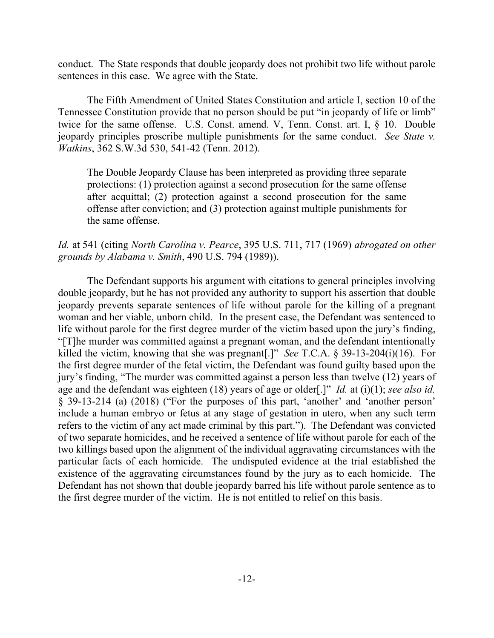conduct. The State responds that double jeopardy does not prohibit two life without parole sentences in this case. We agree with the State.

The Fifth Amendment of United States Constitution and article I, section 10 of the Tennessee Constitution provide that no person should be put "in jeopardy of life or limb" twice for the same offense. U.S. Const. amend. V, Tenn. Const. art. I, § 10. Double jeopardy principles proscribe multiple punishments for the same conduct. *See State v. Watkins*, 362 S.W.3d 530, 541-42 (Tenn. 2012).

The Double Jeopardy Clause has been interpreted as providing three separate protections: (1) protection against a second prosecution for the same offense after acquittal; (2) protection against a second prosecution for the same offense after conviction; and (3) protection against multiple punishments for the same offense.

## *Id.* at 541 (citing *North Carolina v. Pearce*, 395 U.S. 711, 717 (1969) *abrogated on other grounds by Alabama v. Smith*, 490 U.S. 794 (1989)).

The Defendant supports his argument with citations to general principles involving double jeopardy, but he has not provided any authority to support his assertion that double jeopardy prevents separate sentences of life without parole for the killing of a pregnant woman and her viable, unborn child. In the present case, the Defendant was sentenced to life without parole for the first degree murder of the victim based upon the jury's finding, "[T]he murder was committed against a pregnant woman, and the defendant intentionally killed the victim, knowing that she was pregnant[.]" *See* T.C.A. § 39-13-204(i)(16). For the first degree murder of the fetal victim, the Defendant was found guilty based upon the jury's finding, "The murder was committed against a person less than twelve (12) years of age and the defendant was eighteen (18) years of age or older[.]" *Id.* at (i)(1); *see also id.* § 39-13-214 (a) (2018) ("For the purposes of this part, 'another' and 'another person' include a human embryo or fetus at any stage of gestation in utero, when any such term refers to the victim of any act made criminal by this part."). The Defendant was convicted of two separate homicides, and he received a sentence of life without parole for each of the two killings based upon the alignment of the individual aggravating circumstances with the particular facts of each homicide. The undisputed evidence at the trial established the existence of the aggravating circumstances found by the jury as to each homicide. The Defendant has not shown that double jeopardy barred his life without parole sentence as to the first degree murder of the victim. He is not entitled to relief on this basis.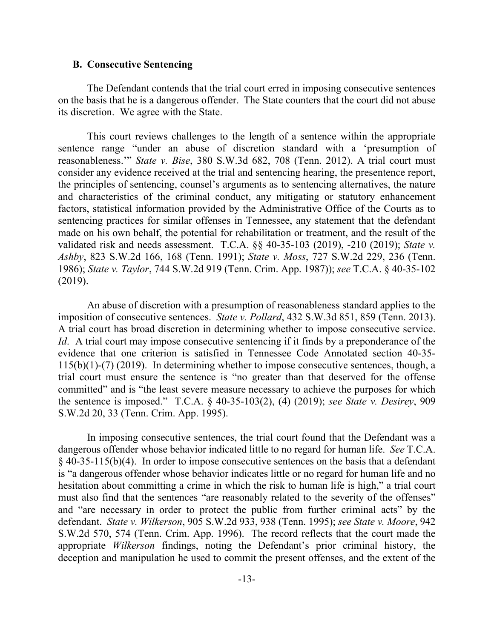#### **B. Consecutive Sentencing**

The Defendant contends that the trial court erred in imposing consecutive sentences on the basis that he is a dangerous offender. The State counters that the court did not abuse its discretion. We agree with the State.

This court reviews challenges to the length of a sentence within the appropriate sentence range "under an abuse of discretion standard with a 'presumption of reasonableness.'" *State v. Bise*, 380 S.W.3d 682, 708 (Tenn. 2012). A trial court must consider any evidence received at the trial and sentencing hearing, the presentence report, the principles of sentencing, counsel's arguments as to sentencing alternatives, the nature and characteristics of the criminal conduct, any mitigating or statutory enhancement factors, statistical information provided by the Administrative Office of the Courts as to sentencing practices for similar offenses in Tennessee, any statement that the defendant made on his own behalf, the potential for rehabilitation or treatment, and the result of the validated risk and needs assessment. T.C.A. §§ 40-35-103 (2019), -210 (2019); *State v. Ashby*, 823 S.W.2d 166, 168 (Tenn. 1991); *State v. Moss*, 727 S.W.2d 229, 236 (Tenn. 1986); *State v. Taylor*, 744 S.W.2d 919 (Tenn. Crim. App. 1987)); *see* T.C.A. § 40-35-102 (2019).

An abuse of discretion with a presumption of reasonableness standard applies to the imposition of consecutive sentences. *State v. Pollard*, 432 S.W.3d 851, 859 (Tenn. 2013). A trial court has broad discretion in determining whether to impose consecutive service. *Id.* A trial court may impose consecutive sentencing if it finds by a preponderance of the evidence that one criterion is satisfied in Tennessee Code Annotated section 40-35- 115(b)(1)-(7) (2019). In determining whether to impose consecutive sentences, though, a trial court must ensure the sentence is "no greater than that deserved for the offense committed" and is "the least severe measure necessary to achieve the purposes for which the sentence is imposed." T.C.A. § 40-35-103(2), (4) (2019); *see State v. Desirey*, 909 S.W.2d 20, 33 (Tenn. Crim. App. 1995).

In imposing consecutive sentences, the trial court found that the Defendant was a dangerous offender whose behavior indicated little to no regard for human life. *See* T.C.A. § 40-35-115(b)(4). In order to impose consecutive sentences on the basis that a defendant is "a dangerous offender whose behavior indicates little or no regard for human life and no hesitation about committing a crime in which the risk to human life is high," a trial court must also find that the sentences "are reasonably related to the severity of the offenses" and "are necessary in order to protect the public from further criminal acts" by the defendant. *State v. Wilkerson*, 905 S.W.2d 933, 938 (Tenn. 1995); *see State v. Moore*, 942 S.W.2d 570, 574 (Tenn. Crim. App. 1996). The record reflects that the court made the appropriate *Wilkerson* findings, noting the Defendant's prior criminal history, the deception and manipulation he used to commit the present offenses, and the extent of the